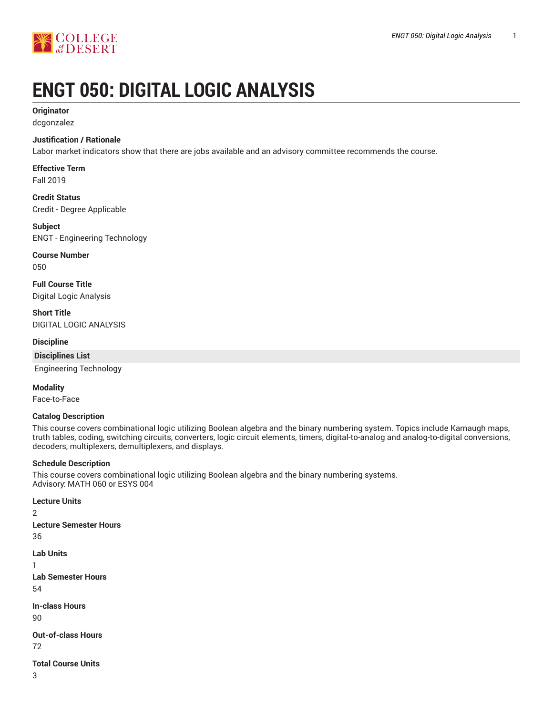

# **ENGT 050: DIGITAL LOGIC ANALYSIS**

# **Originator**

dcgonzalez

# **Justification / Rationale**

Labor market indicators show that there are jobs available and an advisory committee recommends the course.

# **Effective Term**

Fall 2019

**Credit Status** Credit - Degree Applicable

# **Subject**

ENGT - Engineering Technology

# **Course Number**

050

**Full Course Title** Digital Logic Analysis

# **Short Title**

DIGITAL LOGIC ANALYSIS

## **Discipline**

# **Disciplines List**

Engineering Technology

## **Modality**

Face-to-Face

## **Catalog Description**

This course covers combinational logic utilizing Boolean algebra and the binary numbering system. Topics include Karnaugh maps, truth tables, coding, switching circuits, converters, logic circuit elements, timers, digital-to-analog and analog-to-digital conversions, decoders, multiplexers, demultiplexers, and displays.

## **Schedule Description**

This course covers combinational logic utilizing Boolean algebra and the binary numbering systems. Advisory: MATH 060 or ESYS 004

# **Lecture Units**

2 **Lecture Semester Hours** 36

```
Lab Units
```
1 **Lab Semester Hours**

54

**In-class Hours**

90

**Out-of-class Hours**

72

**Total Course Units**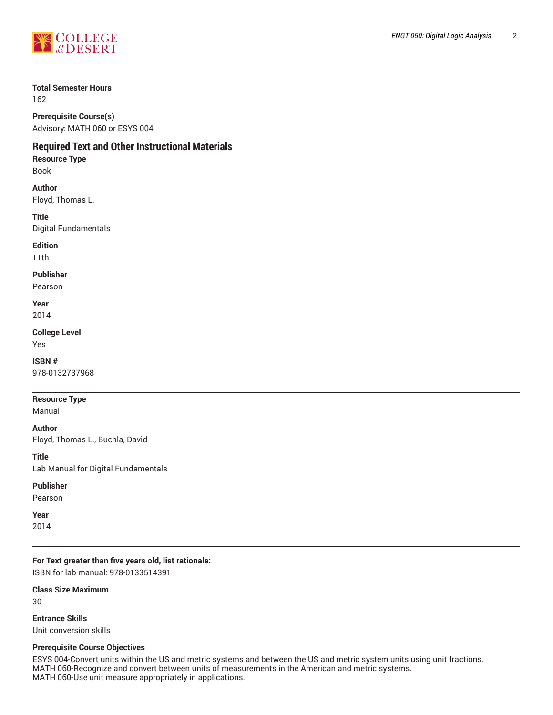

# **Total Semester Hours**

162

**Prerequisite Course(s)** Advisory: MATH 060 or ESYS 004

# **Required Text and Other Instructional Materials**

**Resource Type** Book

**Author** Floyd, Thomas L.

**Title** Digital Fundamentals

**Edition**

11th

**Publisher**

Pearson

**Year** 2014

**College Level**

Yes

**ISBN #** 978-0132737968

**Resource Type**

Manual

**Author**

Floyd, Thomas L., Buchla, David

**Title** Lab Manual for Digital Fundamentals

## **Publisher**

Pearson

**Year**

2014

**For Text greater than five years old, list rationale:** ISBN for lab manual: 978-0133514391

**Class Size Maximum**

30

**Entrance Skills** Unit conversion skills

## **Prerequisite Course Objectives**

ESYS 004-Convert units within the US and metric systems and between the US and metric system units using unit fractions. MATH 060-Recognize and convert between units of measurements in the American and metric systems. MATH 060-Use unit measure appropriately in applications.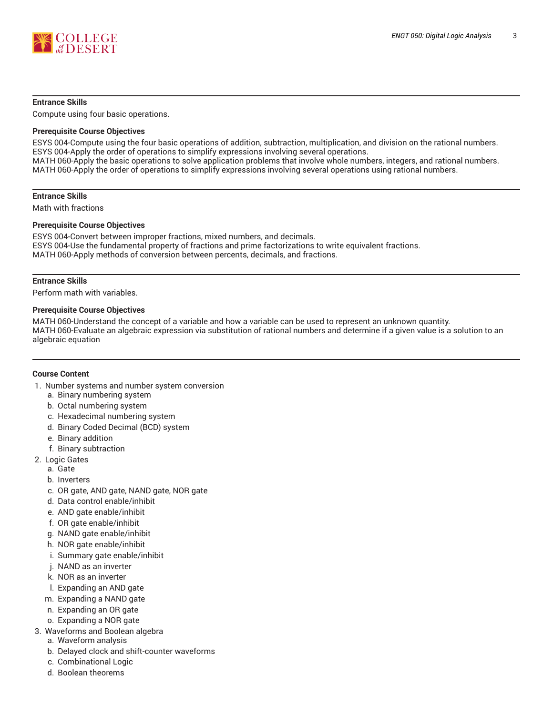

#### **Entrance Skills**

Compute using four basic operations.

#### **Prerequisite Course Objectives**

ESYS 004-Compute using the four basic operations of addition, subtraction, multiplication, and division on the rational numbers. ESYS 004-Apply the order of operations to simplify expressions involving several operations. MATH 060-Apply the basic operations to solve application problems that involve whole numbers, integers, and rational numbers. MATH 060-Apply the order of operations to simplify expressions involving several operations using rational numbers.

#### **Entrance Skills**

Math with fractions

#### **Prerequisite Course Objectives**

ESYS 004-Convert between improper fractions, mixed numbers, and decimals. ESYS 004-Use the fundamental property of fractions and prime factorizations to write equivalent fractions. MATH 060-Apply methods of conversion between percents, decimals, and fractions.

#### **Entrance Skills**

Perform math with variables.

#### **Prerequisite Course Objectives**

MATH 060-Understand the concept of a variable and how a variable can be used to represent an unknown quantity. MATH 060-Evaluate an algebraic expression via substitution of rational numbers and determine if a given value is a solution to an algebraic equation

#### **Course Content**

- 1. Number systems and number system conversion
	- a. Binary numbering system
	- b. Octal numbering system
	- c. Hexadecimal numbering system
	- d. Binary Coded Decimal (BCD) system
	- e. Binary addition
	- f. Binary subtraction
- 2. Logic Gates
	- a. Gate
	- b. Inverters
	- c. OR gate, AND gate, NAND gate, NOR gate
	- d. Data control enable/inhibit
	- e. AND gate enable/inhibit
	- f. OR gate enable/inhibit
	- g. NAND gate enable/inhibit
	- h. NOR gate enable/inhibit
	- i. Summary gate enable/inhibit
	- j. NAND as an inverter
	- k. NOR as an inverter
	- l. Expanding an AND gate
	- m. Expanding a NAND gate
	- n. Expanding an OR gate
	- o. Expanding a NOR gate
- 3. Waveforms and Boolean algebra
	- a. Waveform analysis
	- b. Delayed clock and shift-counter waveforms
	- c. Combinational Logic
	- d. Boolean theorems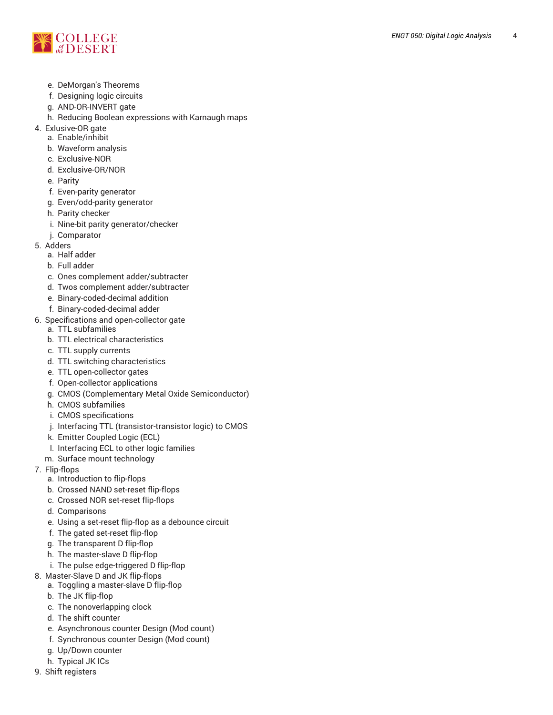

- e. DeMorgan's Theorems
- f. Designing logic circuits
- g. AND-OR-INVERT gate
- h. Reducing Boolean expressions with Karnaugh maps
- 4. Exlusive-OR gate
	- a. Enable/inhibit
	- b. Waveform analysis
	- c. Exclusive-NOR
	- d. Exclusive-OR/NOR
	- e. Parity
	- f. Even-parity generator
	- g. Even/odd-parity generator
	- h. Parity checker
	- i. Nine-bit parity generator/checker
	- j. Comparator
- 5. Adders
	- a. Half adder
	- b. Full adder
	- c. Ones complement adder/subtracter
	- d. Twos complement adder/subtracter
	- e. Binary-coded-decimal addition
	- f. Binary-coded-decimal adder
- 6. Specifications and open-collector gate
	- a. TTL subfamilies
	- b. TTL electrical characteristics
	- c. TTL supply currents
	- d. TTL switching characteristics
	- e. TTL open-collector gates
	- f. Open-collector applications
	- g. CMOS (Complementary Metal Oxide Semiconductor)
	- h. CMOS subfamilies
	- i. CMOS specifications
	- j. Interfacing TTL (transistor-transistor logic) to CMOS
	- k. Emitter Coupled Logic (ECL)
	- l. Interfacing ECL to other logic families
	- m. Surface mount technology
- 7. Flip-flops
	- a. Introduction to flip-flops
	- b. Crossed NAND set-reset flip-flops
	- c. Crossed NOR set-reset flip-flops
	- d. Comparisons
	- e. Using a set-reset flip-flop as a debounce circuit
	- f. The gated set-reset flip-flop
	- g. The transparent D flip-flop
	- h. The master-slave D flip-flop
	- i. The pulse edge-triggered D flip-flop
- 8. Master-Slave D and JK flip-flops
	- a. Toggling a master-slave D flip-flop
	- b. The JK flip-flop
	- c. The nonoverlapping clock
	- d. The shift counter
	- e. Asynchronous counter Design (Mod count)
	- f. Synchronous counter Design (Mod count)
	- g. Up/Down counter
	- h. Typical JK ICs
- 9. Shift registers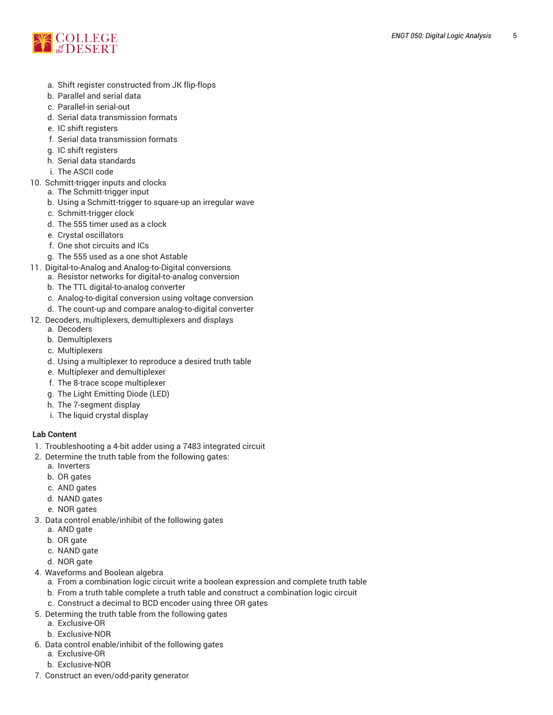

- a. Shift register constructed from JK flip-flops
- b. Parallel and serial data
- c. Parallel-in serial-out
- d. Serial data transmission formats
- e. IC shift registers
- f. Serial data transmission formats
- g. IC shift registers
- h. Serial data standards
- i. The ASCII code
- 10. Schmitt-trigger inputs and clocks
	- a. The Schmitt-trigger input
	- b. Using a Schmitt-trigger to square-up an irregular wave
	- c. Schmitt-trigger clock
	- d. The 555 timer used as a clock
	- e. Crystal oscillators
	- f. One shot circuits and ICs
	- g. The 555 used as a one shot Astable
- 11. Digital-to-Analog and Analog-to-Digital conversions
	- a. Resistor networks for digital-to-analog conversion
		- b. The TTL digital-to-analog converter
		- c. Analog-to-digital conversion using voltage conversion
		- d. The count-up and compare analog-to-digital converter
- 12. Decoders, multiplexers, demultiplexers and displays
	- a. Decoders
	- b. Demultiplexers
	- c. Multiplexers
	- d. Using a multiplexer to reproduce a desired truth table
	- e. Multiplexer and demultiplexer
	- f. The 8-trace scope multiplexer
	- g. The Light Emitting Diode (LED)
	- h. The 7-segment display
	- i. The liquid crystal display

# **Lab Content**

- 1. Troubleshooting a 4-bit adder using a 7483 integrated circuit
- 2. Determine the truth table from the following gates:
	- a. Inverters
	- b. OR gates
	- c. AND gates
	- d. NAND gates
	- e. NOR gates
- 3. Data control enable/inhibit of the following gates
	- a. AND gate
	- b. OR gate
	- c. NAND gate
	- d. NOR gate
- 4. Waveforms and Boolean algebra
	- a. From a combination logic circuit write a boolean expression and complete truth table
	- b. From a truth table complete a truth table and construct a combination logic circuit
	- c. Construct a decimal to BCD encoder using three OR gates
- 5. Determing the truth table from the following gates
	- a. Exclusive-OR
	- b. Exclusive-NOR
- 6. Data control enable/inhibit of the following gates
	- a. Exclusive-OR
	- b. Exclusive-NOR
- 7. Construct an even/odd-parity generator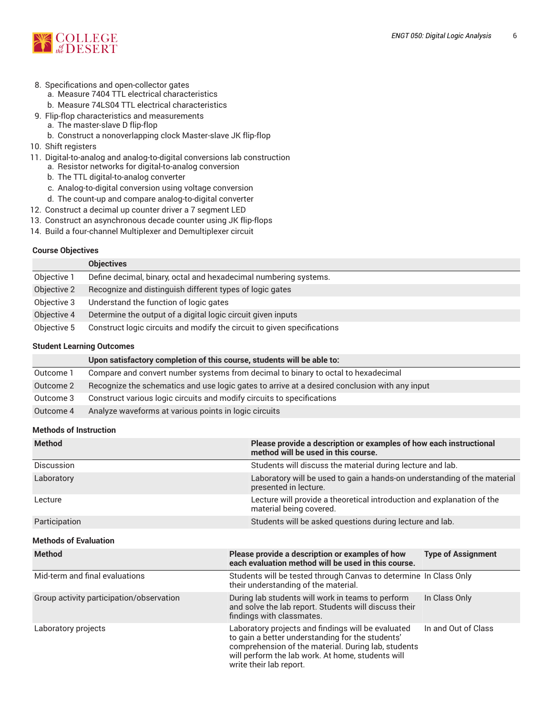

#### 8. Specifications and open-collector gates

- a. Measure 7404 TTL electrical characteristics
- b. Measure 74LS04 TTL electrical characteristics
- 9. Flip-flop characteristics and measurements
	- a. The master-slave D flip-flop b. Construct a nonoverlapping clock Master-slave JK flip-flop
- 
- 10. Shift registers
- 11. Digital-to-analog and analog-to-digital conversions lab construction
	- a. Resistor networks for digital-to-analog conversion
	- b. The TTL digital-to-analog converter
	- c. Analog-to-digital conversion using voltage conversion
	- d. The count-up and compare analog-to-digital converter
- 12. Construct a decimal up counter driver a 7 segment LED
- 13. Construct an asynchronous decade counter using JK flip-flops
- 14. Build a four-channel Multiplexer and Demultiplexer circuit

#### **Course Objectives**

|             | <b>Objectives</b>                                                       |
|-------------|-------------------------------------------------------------------------|
| Objective 1 | Define decimal, binary, octal and hexadecimal numbering systems.        |
| Objective 2 | Recognize and distinguish different types of logic gates                |
| Objective 3 | Understand the function of logic gates                                  |
| Objective 4 | Determine the output of a digital logic circuit given inputs            |
| Objective 5 | Construct logic circuits and modify the circuit to given specifications |

#### **Student Learning Outcomes**

|           | Upon satisfactory completion of this course, students will be able to:                        |
|-----------|-----------------------------------------------------------------------------------------------|
| Outcome 1 | Compare and convert number systems from decimal to binary to octal to hexadecimal             |
| Outcome 2 | Recognize the schematics and use logic gates to arrive at a desired conclusion with any input |
| Outcome 3 | Construct various logic circuits and modify circuits to specifications                        |
| Outcome 4 | Analyze waveforms at various points in logic circuits                                         |

## **Methods of Instruction**

| <b>Method</b>                            | Please provide a description or examples of how each instructional<br>method will be used in this course.                                                                                                                                     |                           |  |  |
|------------------------------------------|-----------------------------------------------------------------------------------------------------------------------------------------------------------------------------------------------------------------------------------------------|---------------------------|--|--|
| Discussion                               | Students will discuss the material during lecture and lab.                                                                                                                                                                                    |                           |  |  |
| Laboratory                               | Laboratory will be used to gain a hands-on understanding of the material<br>presented in lecture.                                                                                                                                             |                           |  |  |
| Lecture                                  | Lecture will provide a theoretical introduction and explanation of the<br>material being covered.                                                                                                                                             |                           |  |  |
| Participation                            | Students will be asked questions during lecture and lab.                                                                                                                                                                                      |                           |  |  |
| <b>Methods of Evaluation</b>             |                                                                                                                                                                                                                                               |                           |  |  |
| <b>Method</b>                            | Please provide a description or examples of how<br>each evaluation method will be used in this course.                                                                                                                                        | <b>Type of Assignment</b> |  |  |
| Mid-term and final evaluations           | Students will be tested through Canvas to determine In Class Only<br>their understanding of the material.                                                                                                                                     |                           |  |  |
| Group activity participation/observation | During lab students will work in teams to perform<br>and solve the lab report. Students will discuss their<br>findings with classmates.                                                                                                       | In Class Only             |  |  |
| Laboratory projects                      | Laboratory projects and findings will be evaluated<br>to gain a better understanding for the students'<br>comprehension of the material. During lab, students<br>will perform the lab work. At home, students will<br>write their lab report. | In and Out of Class       |  |  |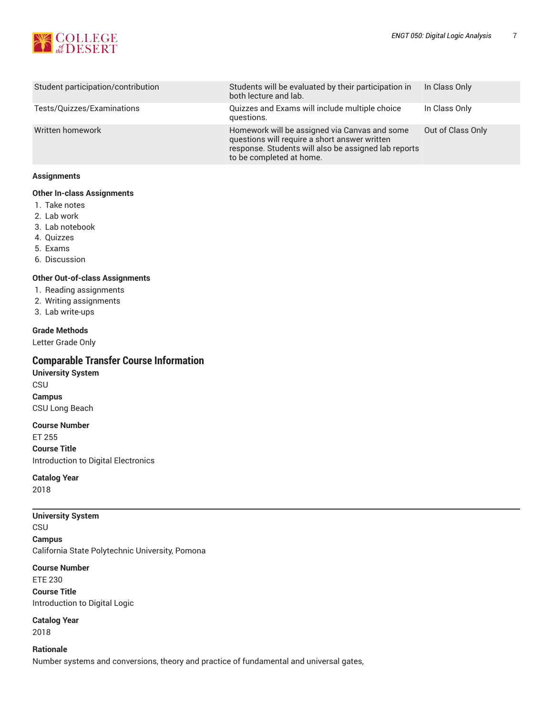

| Student participation/contribution | Students will be evaluated by their participation in<br>both lecture and lab.                                                                                                      | In Class Only     |
|------------------------------------|------------------------------------------------------------------------------------------------------------------------------------------------------------------------------------|-------------------|
| Tests/Quizzes/Examinations         | Quizzes and Exams will include multiple choice<br>questions.                                                                                                                       | In Class Only     |
| Written homework                   | Homework will be assigned via Canvas and some<br>questions will require a short answer written<br>response. Students will also be assigned lab reports<br>to be completed at home. | Out of Class Only |

#### **Assignments**

# **Other In-class Assignments**

- 1. Take notes
- 2. Lab work
- 3. Lab notebook
- 4. Quizzes
- 5. Exams
- 6. Discussion

## **Other Out-of-class Assignments**

- 1. Reading assignments
- 2. Writing assignments
- 3. Lab write-ups

#### **Grade Methods**

Letter Grade Only

# **Comparable Transfer Course Information**

**University System CSU Campus** CSU Long Beach

#### **Course Number**

ET 255

**Course Title**

Introduction to Digital Electronics

# **Catalog Year**

2018

#### **University System**

CSU

**Campus** California State Polytechnic University, Pomona

#### **Course Number**

ETE 230 **Course Title** Introduction to Digital Logic

**Catalog Year** 2018

#### **Rationale**

Number systems and conversions, theory and practice of fundamental and universal gates,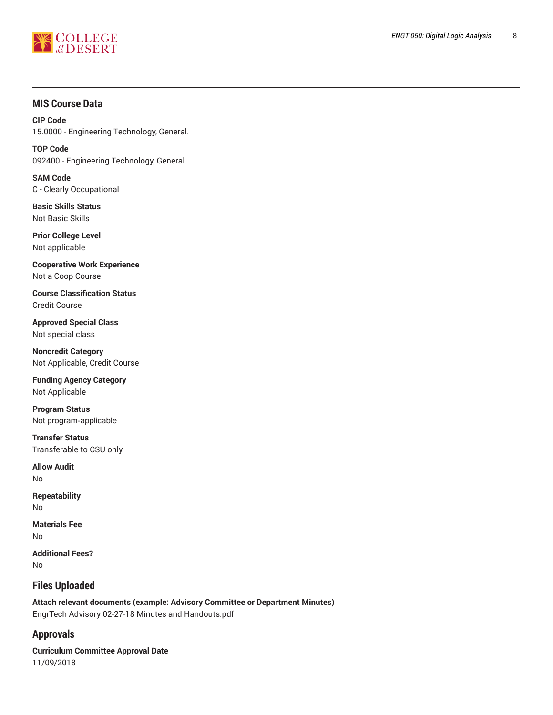

# **MIS Course Data**

**CIP Code** 15.0000 - Engineering Technology, General.

**TOP Code** 092400 - Engineering Technology, General

**SAM Code** C - Clearly Occupational

**Basic Skills Status** Not Basic Skills

**Prior College Level** Not applicable

**Cooperative Work Experience** Not a Coop Course

**Course Classification Status** Credit Course

**Approved Special Class** Not special class

**Noncredit Category** Not Applicable, Credit Course

**Funding Agency Category** Not Applicable

**Program Status** Not program-applicable

**Transfer Status** Transferable to CSU only

**Allow Audit** No

**Repeatability** No

**Materials Fee** No

**Additional Fees?** No

# **Files Uploaded**

**Attach relevant documents (example: Advisory Committee or Department Minutes)**  EngrTech Advisory 02-27-18 Minutes and Handouts.pdf

# **Approvals**

**Curriculum Committee Approval Date** 11/09/2018